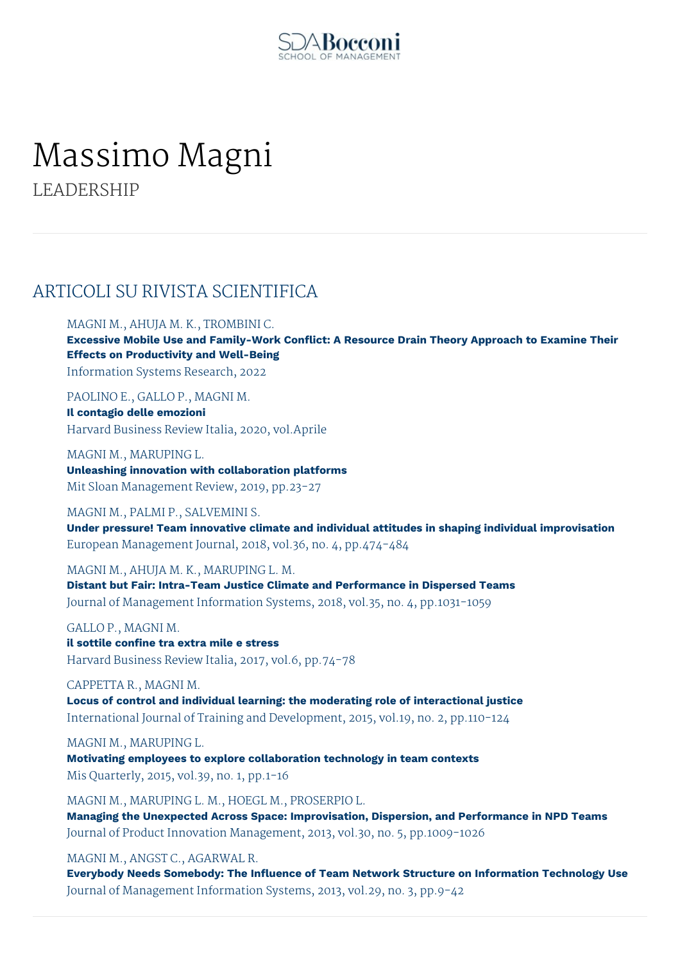

# Massimo Magni

LEADERSHIP

# ARTICOLI SU RIVISTA SCIENTIFICA

MAGNI M., AHUJA M. K., TROMBINI C.

**Excessive Mobile Use and Family-Work Conflict: A Resource Drain Theory Approach to Examine Their Effects on Productivity and Well-Being** Information Systems Research, 2022

PAOLINO E., GALLO P., MAGNI M. **Il contagio delle emozioni** Harvard Business Review Italia, 2020, vol.Aprile

MAGNI M., MARUPING L. **Unleashing innovation with collaboration platforms** Mit Sloan Management Review, 2019, pp.23-27

MAGNI M., PALMI P., SALVEMINI S.

**Under pressure! Team innovative climate and individual attitudes in shaping individual improvisation** European Management Journal, 2018, vol.36, no. 4, pp.474-484

MAGNI M., AHUJA M. K., MARUPING L. M.

**Distant but Fair: Intra-Team Justice Climate and Performance in Dispersed Teams** Journal of Management Information Systems, 2018, vol.35, no. 4, pp.1031-1059

GALLO P., MAGNI M. **il sottile confine tra extra mile e stress** Harvard Business Review Italia, 2017, vol.6, pp.74-78

CAPPETTA R., MAGNI M. **Locus of control and individual learning: the moderating role of interactional justice** International Journal of Training and Development, 2015, vol.19, no. 2, pp.110-124

MAGNI M., MARUPING L. **Motivating employees to explore collaboration technology in team contexts** Mis Quarterly, 2015, vol.39, no. 1, pp.1-16

MAGNI M., MARUPING L. M., HOEGL M., PROSERPIO L. **Managing the Unexpected Across Space: Improvisation, Dispersion, and Performance in NPD Teams** Journal of Product Innovation Management, 2013, vol.30, no. 5, pp.1009-1026

MAGNI M., ANGST C., AGARWAL R.

**Everybody Needs Somebody: The Influence of Team Network Structure on Information Technology Use** Journal of Management Information Systems, 2013, vol.29, no. 3, pp.9-42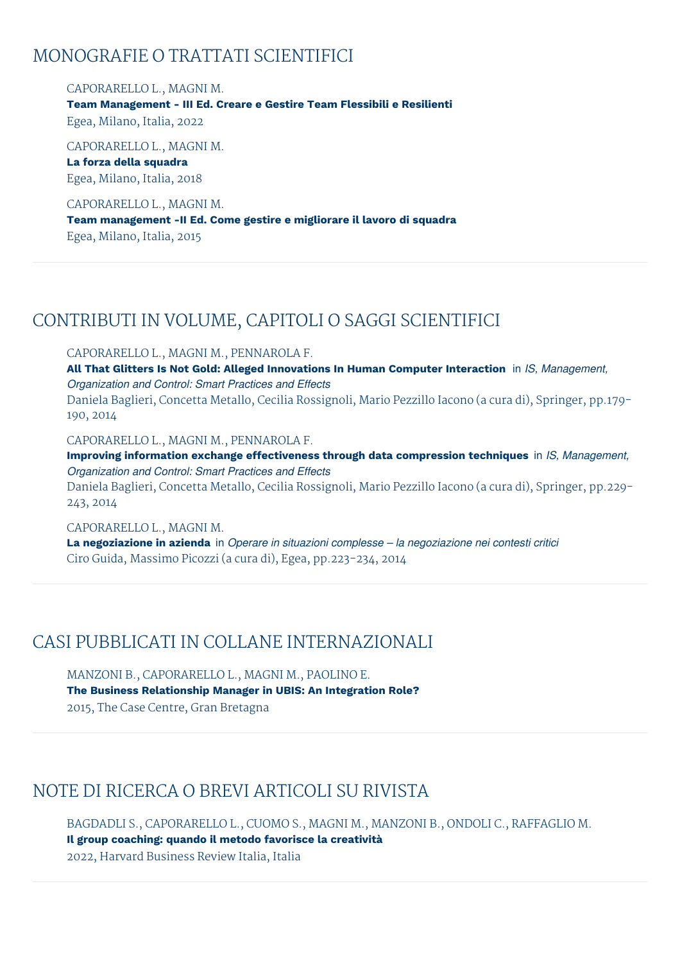# MONOGRAFIE O TRATTATI SCIENTIFICI

## CAPORARELLO L., MAGNI M.

**Team Management - III Ed. Creare e Gestire Team Flessibili e Resilienti** Egea, Milano, Italia, 2022

CAPORARELLO L., MAGNI M. **La forza della squadra** Egea, Milano, Italia, 2018

CAPORARELLO L., MAGNI M.

**Team management -II Ed. Come gestire e migliorare il lavoro di squadra** Egea, Milano, Italia, 2015

# CONTRIBUTI IN VOLUME, CAPITOLI O SAGGI SCIENTIFICI

#### CAPORARELLO L., MAGNI M., PENNAROLA F.

**All That Glitters Is Not Gold: Alleged Innovations In Human Computer Interaction** in *IS, Management, Organization and Control: Smart Practices and Effects* Daniela Baglieri, Concetta Metallo, Cecilia Rossignoli, Mario Pezzillo Iacono (a cura di), Springer, pp.179- 190, 2014

#### CAPORARELLO L., MAGNI M., PENNAROLA F.

**Improving information exchange effectiveness through data compression techniques** in *IS, Management, Organization and Control: Smart Practices and Effects* Daniela Baglieri, Concetta Metallo, Cecilia Rossignoli, Mario Pezzillo Iacono (a cura di), Springer, pp.229- 243, 2014

#### CAPORARELLO L., MAGNI M.

**La negoziazione in azienda** in *Operare in situazioni complesse – la negoziazione nei contesti critici* Ciro Guida, Massimo Picozzi (a cura di), Egea, pp.223-234, 2014

# CASI PUBBLICATI IN COLLANE INTERNAZIONALI

MANZONI B., CAPORARELLO L., MAGNI M., PAOLINO E. **The Business Relationship Manager in UBIS: An Integration Role?** 2015, The Case Centre, Gran Bretagna

# NOTE DI RICERCA O BREVI ARTICOLI SU RIVISTA

BAGDADLI S., CAPORARELLO L., CUOMO S., MAGNI M., MANZONI B., ONDOLI C., RAFFAGLIO M. **Il group coaching: quando il metodo favorisce la creatività** 2022, Harvard Business Review Italia, Italia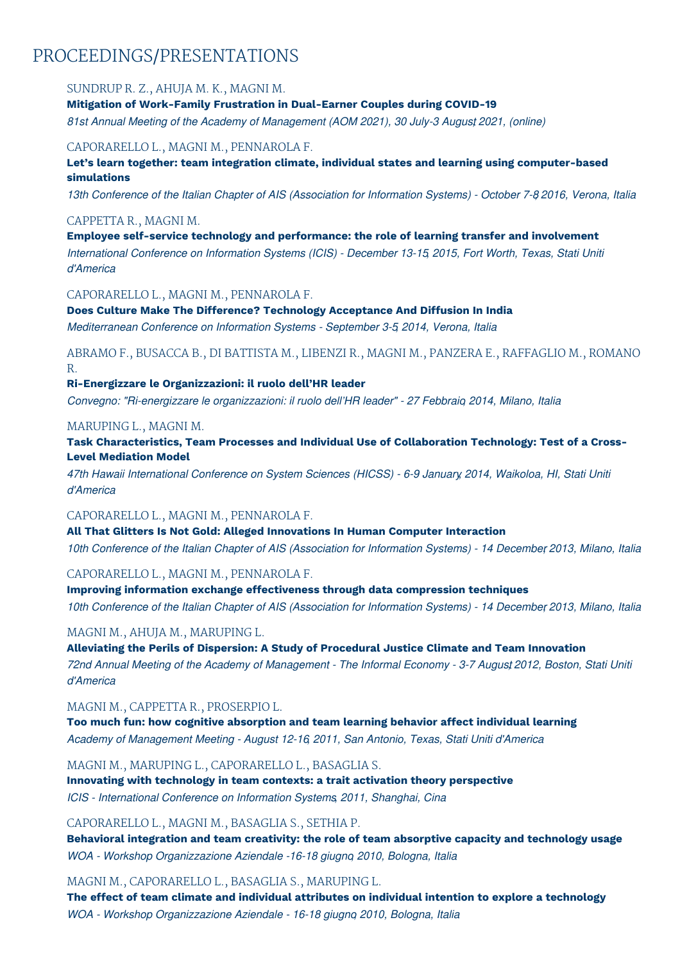# PROCEEDINGS/PRESENTATIONS

## SUNDRUP R. Z., AHUJA M. K., MAGNI M.

**Mitigation of Work-Family Frustration in Dual-Earner Couples during COVID-19** *81st Annual Meeting of the Academy of Management (AOM 2021), 30 July-3 Augus,t 2021, (online)*

#### CAPORARELLO L., MAGNI M., PENNAROLA F.

**Let's learn together: team integration climate, individual states and learning using computer-based simulations**

13th Conference of the Italian Chapter of AIS (Association for Information Systems) - October 7-8 2016, Verona, Italia

#### CAPPETTA R., MAGNI M.

**Employee self-service technology and performance: the role of learning transfer and involvement** *International Conference on Information Systems (ICIS) - December 13-15, 2015, Fort Worth, Texas, Stati Uniti d'America*

#### CAPORARELLO L., MAGNI M., PENNAROLA F.

**Does Culture Make The Difference? Technology Acceptance And Diffusion In India** *Mediterranean Conference on Information Systems - September 3-5, 2014, Verona, Italia*

ABRAMO F., BUSACCA B., DI BATTISTA M., LIBENZI R., MAGNI M., PANZERA E., RAFFAGLIO M., ROMANO R.

#### **Ri-Energizzare le Organizzazioni: il ruolo dell'HR leader**

*Convegno: "Ri-energizzare le organizzazioni: il ruolo dell'HR leader" - 27 Febbraio, 2014, Milano, Italia*

#### MARUPING L., MAGNI M.

**Task Characteristics, Team Processes and Individual Use of Collaboration Technology: Test of a Cross-Level Mediation Model**

*47th Hawaii International Conference on System Sciences (HICSS) - 6-9 January, 2014, Waikoloa, HI, Stati Uniti d'America*

## CAPORARELLO L., MAGNI M., PENNAROLA F.

**All That Glitters Is Not Gold: Alleged Innovations In Human Computer Interaction** 10th Conference of the Italian Chapter of AIS (Association for Information Systems) - 14 December 2013, Milano, Italia

## CAPORARELLO L., MAGNI M., PENNAROLA F.

**Improving information exchange effectiveness through data compression techniques** 10th Conference of the Italian Chapter of AIS (Association for Information Systems) - 14 December 2013, Milano, Italia

## MAGNI M., AHUJA M., MARUPING L.

**Alleviating the Perils of Dispersion: A Study of Procedural Justice Climate and Team Innovation** 72nd Annual Meeting of the Academy of Management - The Informal Economy - 3-7 August 2012, Boston, Stati Uniti *d'America*

MAGNI M., CAPPETTA R., PROSERPIO L.

**Too much fun: how cognitive absorption and team learning behavior affect individual learning** *Academy of Management Meeting - August 12-16, 2011, San Antonio, Texas, Stati Uniti d'America*

MAGNI M., MARUPING L., CAPORARELLO L., BASAGLIA S.

**Innovating with technology in team contexts: a trait activation theory perspective** *ICIS - International Conference on Information Systems, 2011, Shanghai, Cina*

## CAPORARELLO L., MAGNI M., BASAGLIA S., SETHIA P.

**Behavioral integration and team creativity: the role of team absorptive capacity and technology usage** *WOA - Workshop Organizzazione Aziendale -16-18 giugno, 2010, Bologna, Italia*

## MAGNI M., CAPORARELLO L., BASAGLIA S., MARUPING L.

**The effect of team climate and individual attributes on individual intention to explore a technology** *WOA - Workshop Organizzazione Aziendale - 16-18 giugno, 2010, Bologna, Italia*